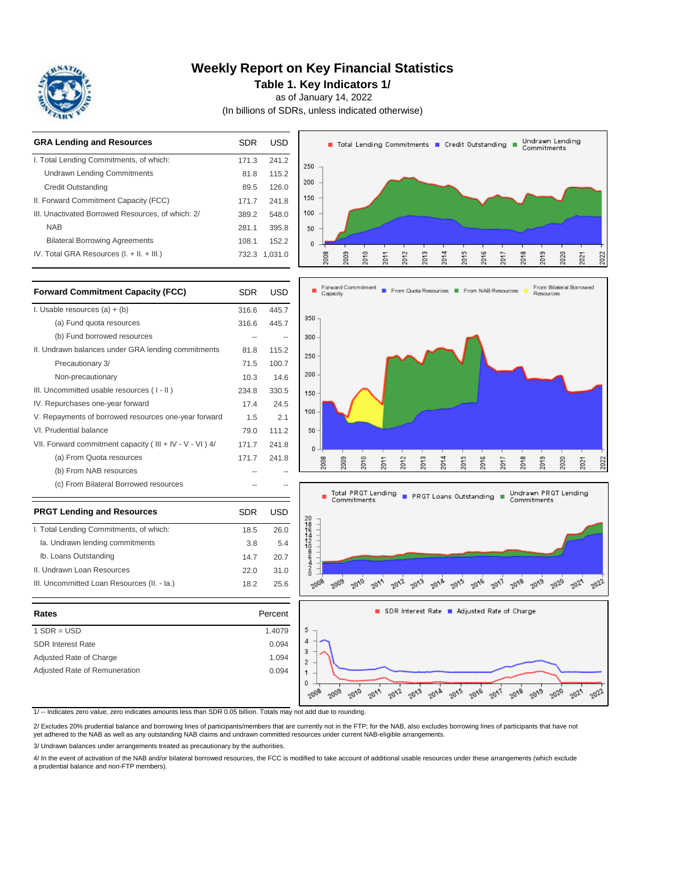

# **Weekly Report on Key Financial Statistics**

**Table 1. Key Indicators 1/**

as of January 14, 2022

(In billions of SDRs, unless indicated otherwise)

| <b>GRA Lending and Resources</b>                                                                                  | <b>SDR</b>               | <b>USD</b>     | Undrawn Lending<br>■ Total Lending Commitments ■ Credit Outstanding ■<br>Commitments                                        |
|-------------------------------------------------------------------------------------------------------------------|--------------------------|----------------|-----------------------------------------------------------------------------------------------------------------------------|
| I. Total Lending Commitments, of which:                                                                           | 171.3                    | 241.2          | 250                                                                                                                         |
| <b>Undrawn Lending Commitments</b>                                                                                | 81.8                     | 115.2          |                                                                                                                             |
| <b>Credit Outstanding</b>                                                                                         | 89.5                     | 126.0          | 200                                                                                                                         |
| II. Forward Commitment Capacity (FCC)                                                                             | 171.7                    | 241.8          | 150                                                                                                                         |
| III. Unactivated Borrowed Resources, of which: 2/                                                                 | 389.2                    | 548.0          | 100                                                                                                                         |
| <b>NAB</b>                                                                                                        | 281.1                    | 395.8          | 50                                                                                                                          |
| <b>Bilateral Borrowing Agreements</b>                                                                             | 108.1                    | 152.2          | 0                                                                                                                           |
| IV. Total GRA Resources (I. + II. + III.)                                                                         |                          | 732.3 1,031.0  | 2013<br>2014<br>2016<br>2018<br>2009<br>2010<br>2011<br>2012<br>2015<br>2019<br>2020<br>2008<br>2017<br>2021<br>2022        |
| <b>Forward Commitment Capacity (FCC)</b>                                                                          | <b>SDR</b>               | <b>USD</b>     | Forward Commitment<br>From Bilateral Borrowed<br>From Quota Resources<br>From NAB Resources<br>Capacity<br><b>Resources</b> |
| I. Usable resources $(a) + (b)$                                                                                   | 316.6                    | 445.7          |                                                                                                                             |
| (a) Fund quota resources                                                                                          | 316.6                    | 445.7          | 350                                                                                                                         |
| (b) Fund borrowed resources                                                                                       | $\overline{\phantom{a}}$ | $\overline{a}$ | 300                                                                                                                         |
| II. Undrawn balances under GRA lending commitments                                                                | 81.8                     | 115.2          |                                                                                                                             |
| Precautionary 3/                                                                                                  | 71.5                     | 100.7          | 250                                                                                                                         |
| Non-precautionary                                                                                                 | 10.3                     | 14.6           | 200                                                                                                                         |
| III. Uncommitted usable resources (I-II)                                                                          | 234.8                    | 330.5          | 150                                                                                                                         |
| IV. Repurchases one-year forward                                                                                  | 17.4                     | 24.5           |                                                                                                                             |
| V. Repayments of borrowed resources one-year forward                                                              | 1.5                      | 2.1            | 100                                                                                                                         |
| VI. Prudential balance                                                                                            | 79.0                     | 111.2          | 50                                                                                                                          |
| VII. Forward commitment capacity (III + IV - V - VI ) 4/                                                          | 171.7                    | 241.8          | 0                                                                                                                           |
| (a) From Quota resources                                                                                          | 171.7                    | 241.8          | 2010<br>2013<br>2014<br>2015<br>2016<br>2018<br>2008<br>2009<br>2012<br>2017<br>2019<br>2020<br>2011<br>2021<br>2022        |
| (b) From NAB resources                                                                                            |                          |                |                                                                                                                             |
| (c) From Bilateral Borrowed resources                                                                             |                          |                | Undrawn PRGT Lending<br><b>Total PRGT Lending</b><br>PRGT Loans Outstanding                                                 |
| <b>PRGT Lending and Resources</b>                                                                                 | <b>SDR</b>               | <b>USD</b>     | Commitments<br>Commitments                                                                                                  |
| I. Total Lending Commitments, of which:                                                                           | 18.5                     | 26.0           | 20111442086420<br><b>HELLI LILLE</b>                                                                                        |
| Ia. Undrawn lending commitments                                                                                   | 3.8                      | 5.4            |                                                                                                                             |
| Ib. Loans Outstanding                                                                                             | 14.7                     | 20.7           |                                                                                                                             |
| II. Undrawn Loan Resources                                                                                        | 22.0                     | 31.0           |                                                                                                                             |
| III. Uncommitted Loan Resources (II. - Ia.)                                                                       | 18.2                     | 25.6           | 2008<br>2009<br>2010<br>$20^{15}$<br>2018<br>2019<br>2012<br>$20^{13}$<br>$20^{14}$<br>$20\sqrt{e}$<br>2017<br>2011         |
| Rates                                                                                                             |                          | Percent        | SDR Interest Rate Adjusted Rate of Charge                                                                                   |
| $1$ SDR = USD                                                                                                     |                          | 1.4079         | 5                                                                                                                           |
| <b>SDR Interest Rate</b>                                                                                          |                          | 0.094          | 4                                                                                                                           |
| Adjusted Rate of Charge                                                                                           |                          | 1.094          | 3<br>2                                                                                                                      |
| Adjusted Rate of Remuneration                                                                                     |                          | 0.094          | 1<br>0<br>2012<br>$20^{13}$                                                                                                 |
| 1/-- Indicates zero value, zero indicates amounts less than SDR 0.05 billion. Totals may not add due to rounding. |                          |                | $20^{18}$<br>2015<br>2016<br>2010<br>2011<br>$20^{17}$<br>20/8<br>2009<br>2019<br>2020<br>2008<br>2021                      |

2/ Excludes 20% prudential balance and borrowing lines of participants/members that are currently not in the FTP; for the NAB, also excludes borrowing lines of participants that have not yet adhered to the NAB as well as any outstanding NAB claims and undrawn committed resources under current NAB-eligible arrangements.

3/ Undrawn balances under arrangements treated as precautionary by the authorities.

4/ In the event of activation of the NAB and/or bilateral borrowed resources, the FCC is modified to take account of additional usable resources under these arrangements (which exclude a prudential balance and non-FTP members).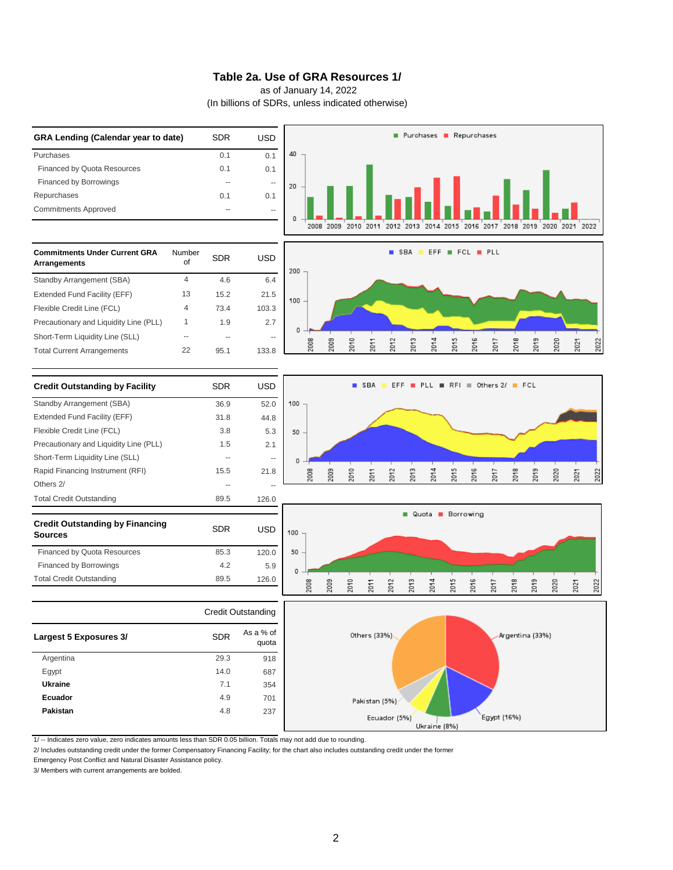#### **Table 2a. Use of GRA Resources 1/**

as of January 14, 2022

(In billions of SDRs, unless indicated otherwise)



1/ -- Indicates zero value, zero indicates amounts less than SDR 0.05 billion. Totals may not add due to rounding.

2/ Includes outstanding credit under the former Compensatory Financing Facility; for the chart also includes outstanding credit under the former

Emergency Post Conflict and Natural Disaster Assistance policy.

3/ Members with current arrangements are bolded.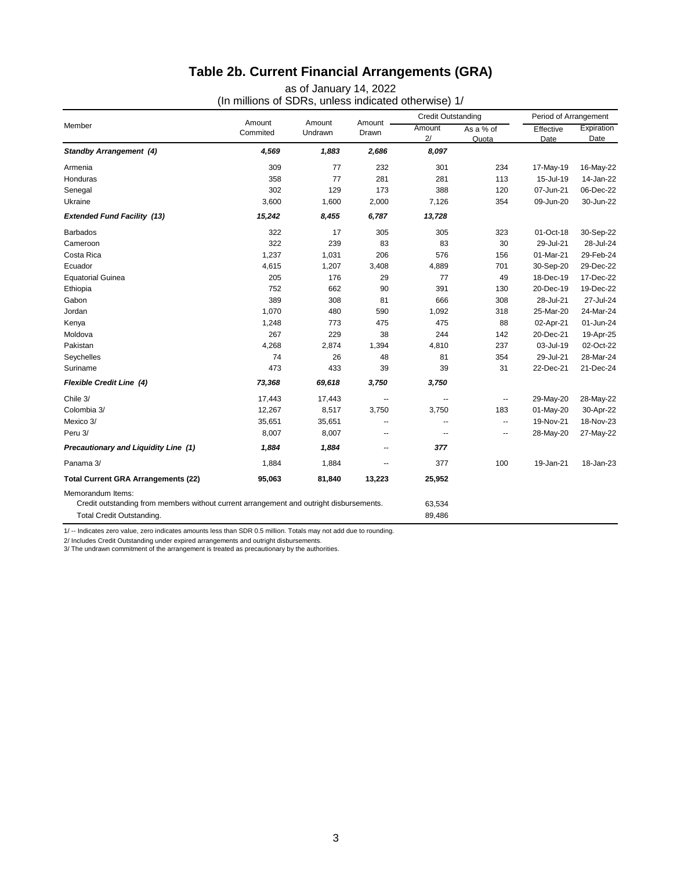# **Table 2b. Current Financial Arrangements (GRA)**

as of January 14, 2022

(In millions of SDRs, unless indicated otherwise) 1/

| Member                                                                                  |                    | Amount<br>Undrawn | Amount<br>Drawn | <b>Credit Outstanding</b> |                          | Period of Arrangement |                    |
|-----------------------------------------------------------------------------------------|--------------------|-------------------|-----------------|---------------------------|--------------------------|-----------------------|--------------------|
|                                                                                         | Amount<br>Commited |                   |                 | Amount<br>2/              | As a % of<br>Quota       | Effective<br>Date     | Expiration<br>Date |
| <b>Standby Arrangement (4)</b>                                                          | 4,569              | 1,883             | 2,686           | 8,097                     |                          |                       |                    |
| Armenia                                                                                 | 309                | 77                | 232             | 301                       | 234                      | 17-May-19             | 16-May-22          |
| Honduras                                                                                | 358                | 77                | 281             | 281                       | 113                      | 15-Jul-19             | 14-Jan-22          |
| Senegal                                                                                 | 302                | 129               | 173             | 388                       | 120                      | 07-Jun-21             | 06-Dec-22          |
| Ukraine                                                                                 | 3,600              | 1,600             | 2,000           | 7,126                     | 354                      | 09-Jun-20             | 30-Jun-22          |
| <b>Extended Fund Facility (13)</b>                                                      | 15,242             | 8,455             | 6,787           | 13,728                    |                          |                       |                    |
| <b>Barbados</b>                                                                         | 322                | 17                | 305             | 305                       | 323                      | 01-Oct-18             | 30-Sep-22          |
| Cameroon                                                                                | 322                | 239               | 83              | 83                        | 30                       | 29-Jul-21             | 28-Jul-24          |
| Costa Rica                                                                              | 1,237              | 1,031             | 206             | 576                       | 156                      | 01-Mar-21             | 29-Feb-24          |
| Ecuador                                                                                 | 4,615              | 1,207             | 3,408           | 4,889                     | 701                      | 30-Sep-20             | 29-Dec-22          |
| <b>Equatorial Guinea</b>                                                                | 205                | 176               | 29              | 77                        | 49                       | 18-Dec-19             | 17-Dec-22          |
| Ethiopia                                                                                | 752                | 662               | 90              | 391                       | 130                      | 20-Dec-19             | 19-Dec-22          |
| Gabon                                                                                   | 389                | 308               | 81              | 666                       | 308                      | 28-Jul-21             | 27-Jul-24          |
| Jordan                                                                                  | 1,070              | 480               | 590             | 1,092                     | 318                      | 25-Mar-20             | 24-Mar-24          |
| Kenya                                                                                   | 1,248              | 773               | 475             | 475                       | 88                       | 02-Apr-21             | 01-Jun-24          |
| Moldova                                                                                 | 267                | 229               | 38              | 244                       | 142                      | 20-Dec-21             | 19-Apr-25          |
| Pakistan                                                                                | 4,268              | 2,874             | 1,394           | 4,810                     | 237                      | 03-Jul-19             | 02-Oct-22          |
| Seychelles                                                                              | 74                 | 26                | 48              | 81                        | 354                      | 29-Jul-21             | 28-Mar-24          |
| Suriname                                                                                | 473                | 433               | 39              | 39                        | 31                       | 22-Dec-21             | 21-Dec-24          |
| <b>Flexible Credit Line (4)</b>                                                         | 73,368             | 69,618            | 3,750           | 3,750                     |                          |                       |                    |
| Chile 3/                                                                                | 17,443             | 17,443            | --              | --                        | --                       | 29-May-20             | 28-May-22          |
| Colombia 3/                                                                             | 12,267             | 8,517             | 3,750           | 3,750                     | 183                      | 01-May-20             | 30-Apr-22          |
| Mexico 3/                                                                               | 35,651             | 35,651            | --              | --                        | $\overline{\phantom{a}}$ | 19-Nov-21             | 18-Nov-23          |
| Peru 3/                                                                                 | 8,007              | 8,007             | --              | $\overline{a}$            | $\overline{\phantom{a}}$ | 28-May-20             | 27-May-22          |
| Precautionary and Liquidity Line (1)                                                    | 1,884              | 1,884             | --              | 377                       |                          |                       |                    |
| Panama 3/                                                                               | 1,884              | 1,884             | --              | 377                       | 100                      | 19-Jan-21             | 18-Jan-23          |
| <b>Total Current GRA Arrangements (22)</b>                                              | 95,063             | 81,840            | 13,223          | 25,952                    |                          |                       |                    |
| Memorandum Items:                                                                       |                    |                   |                 |                           |                          |                       |                    |
| Credit outstanding from members without current arrangement and outright disbursements. |                    |                   |                 | 63,534                    |                          |                       |                    |
| Total Credit Outstanding.                                                               |                    |                   |                 | 89.486                    |                          |                       |                    |

1/ -- Indicates zero value, zero indicates amounts less than SDR 0.5 million. Totals may not add due to rounding.

2/ Includes Credit Outstanding under expired arrangements and outright disbursements.<br>3/ The undrawn commitment of the arrangement is treated as precautionary by the authorities.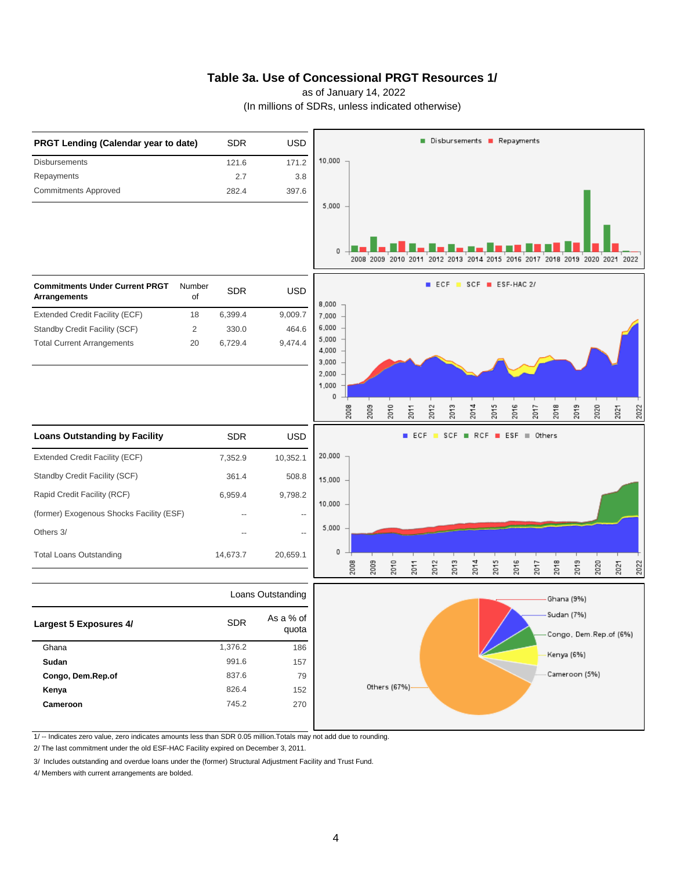#### **Table 3a. Use of Concessional PRGT Resources 1/**

as of January 14, 2022

(In millions of SDRs, unless indicated otherwise)



1/ -- Indicates zero value, zero indicates amounts less than SDR 0.05 million.Totals may not add due to rounding.

2/ The last commitment under the old ESF-HAC Facility expired on December 3, 2011.

3/ Includes outstanding and overdue loans under the (former) Structural Adjustment Facility and Trust Fund.

4/ Members with current arrangements are bolded.